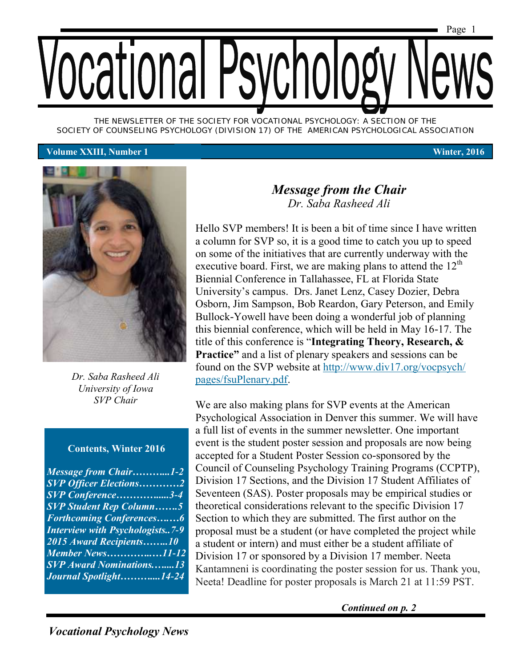

*THE NEWSLETTER OF THE SOCIETY FOR VOCATIONAL PSYCHOLOGY: A SECTION OF THE SOCIETY OF COUNSELING PSYCHOLOGY (DIVISION 17) OF THE AMERICAN PSYCHOLOGICAL ASSOCIATION*

#### **Volume XXIII, Number 1 Winter, 2016**



*Dr. Saba Rasheed Ali University of Iowa SVP Chair*

#### **Contents, Winter 2016**

| <b>Message from Chair1-2</b>           |  |
|----------------------------------------|--|
| <b>SVP Officer Elections2</b>          |  |
| SVP Conference3-4                      |  |
| <b>SVP Student Rep Column5</b>         |  |
| <b>Forthcoming Conferences6</b>        |  |
| <b>Interview with Psychologists7-9</b> |  |
| 2015 Award Recipients10                |  |
|                                        |  |
| <b>SVP</b> Award Nominations13         |  |
| Journal Spotlight14-24                 |  |
|                                        |  |

#### *Message from the Chair Dr. Saba Rasheed Ali*

Hello SVP members! It is been a bit of time since I have written a column for SVP so, it is a good time to catch you up to speed on some of the initiatives that are currently underway with the executive board. First, we are making plans to attend the  $12<sup>th</sup>$ Biennial Conference in Tallahassee, FL at Florida State University's campus. Drs. Janet Lenz, Casey Dozier, Debra Osborn, Jim Sampson, Bob Reardon, Gary Peterson, and Emily Bullock-Yowell have been doing a wonderful job of planning this biennial conference, which will be held in May 16-17. The title of this conference is "**Integrating Theory, Research, & Practice**" and a list of plenary speakers and sessions can be found on the SVP website at [http://www.div17.org/vocpsych/](http://www.div17.org/vocpsych/pages/fsuPlenary.pdf) [pages/fsuPlenary.pdf.](http://www.div17.org/vocpsych/pages/fsuPlenary.pdf)

We are also making plans for SVP events at the American Psychological Association in Denver this summer. We will have a full list of events in the summer newsletter. One important event is the student poster session and proposals are now being accepted for a Student Poster Session co-sponsored by the Council of Counseling Psychology Training Programs (CCPTP), Division 17 Sections, and the Division 17 Student Affiliates of Seventeen (SAS). Poster proposals may be empirical studies or theoretical considerations relevant to the specific Division 17 Section to which they are submitted. The first author on the proposal must be a student (or have completed the project while a student or intern) and must either be a student affiliate of Division 17 or sponsored by a Division 17 member. Neeta Kantamneni is coordinating the poster session for us. Thank you, Neeta! Deadline for poster proposals is March 21 at 11:59 PST.

*Continued on p. 2*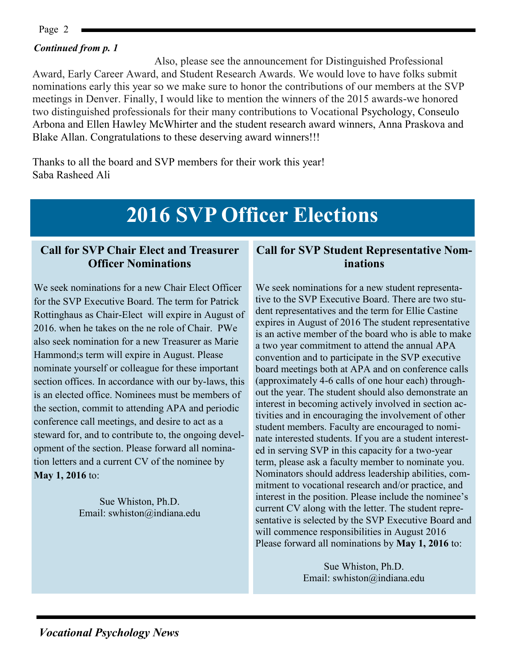Page 2

#### *Continued from p. 1*

Also, please see the announcement for Distinguished Professional Award, Early Career Award, and Student Research Awards. We would love to have folks submit nominations early this year so we make sure to honor the contributions of our members at the SVP meetings in Denver. Finally, I would like to mention the winners of the 2015 awards-we honored two distinguished professionals for their many contributions to Vocational Psychology, Conseulo Arbona and Ellen Hawley McWhirter and the student research award winners, Anna Praskova and Blake Allan. Congratulations to these deserving award winners!!!

Thanks to all the board and SVP members for their work this year! Saba Rasheed Ali

## **2016 SVP Officer Elections**

#### **Call for SVP Chair Elect and Treasurer Officer Nominations**

We seek nominations for a new Chair Elect Officer for the SVP Executive Board. The term for Patrick Rottinghaus as Chair-Elect will expire in August of 2016. when he takes on the ne role of Chair. PWe also seek nomination for a new Treasurer as Marie Hammond;s term will expire in August. Please nominate yourself or colleague for these important section offices. In accordance with our by-laws, this is an elected office. Nominees must be members of the section, commit to attending APA and periodic conference call meetings, and desire to act as a steward for, and to contribute to, the ongoing development of the section. Please forward all nomination letters and a current CV of the nominee by **May 1, 2016** to:

> Sue Whiston, Ph.D. Email: swhiston@indiana.edu

#### **Call for SVP Student Representative Nominations**

We seek nominations for a new student representative to the SVP Executive Board. There are two student representatives and the term for Ellie Castine expires in August of 2016 The student representative is an active member of the board who is able to make a two year commitment to attend the annual APA convention and to participate in the SVP executive board meetings both at APA and on conference calls (approximately 4-6 calls of one hour each) throughout the year. The student should also demonstrate an interest in becoming actively involved in section activities and in encouraging the involvement of other student members. Faculty are encouraged to nominate interested students. If you are a student interested in serving SVP in this capacity for a two-year term, please ask a faculty member to nominate you. Nominators should address leadership abilities, commitment to vocational research and/or practice, and interest in the position. Please include the nominee's current CV along with the letter. The student representative is selected by the SVP Executive Board and will commence responsibilities in August 2016 Please forward all nominations by **May 1, 2016** to:

> Sue Whiston, Ph.D. Email: swhiston@indiana.edu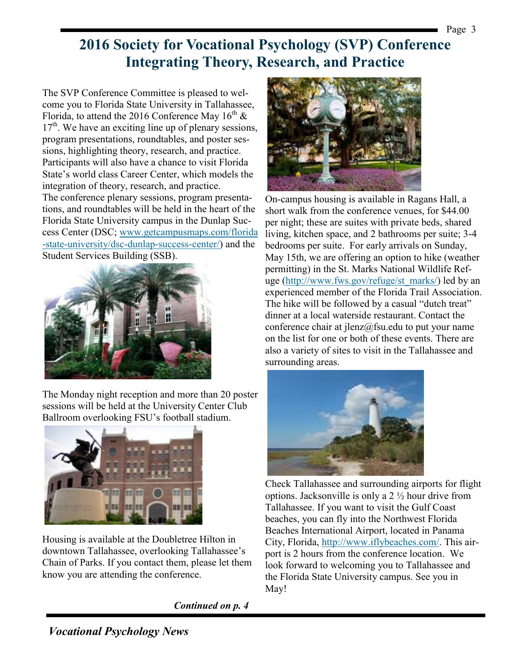**2016 Society for Vocational Psychology (SVP) Conference Integrating Theory, Research, and Practice**

The SVP Conference Committee is pleased to welcome you to Florida State University in Tallahassee, Florida, to attend the 2016 Conference May  $16^{th}$  &  $17<sup>th</sup>$ . We have an exciting line up of plenary sessions, program presentations, roundtables, and poster sessions, highlighting theory, research, and practice. Participants will also have a chance to visit Florida State's world class Career Center, which models the integration of theory, research, and practice. The conference plenary sessions, program presentations, and roundtables will be held in the heart of the Florida State University campus in the Dunlap Success Center (DSC; [www.getcampusmaps.com/florida](http://www.getcampusmaps.com/florida-state-university/dsc-dunlap-success-center/) [-state-university/dsc-dunlap-success-center/\)](http://www.getcampusmaps.com/florida-state-university/dsc-dunlap-success-center/) and the Student Services Building (SSB).



The Monday night reception and more than 20 poster sessions will be held at the University Center Club Ballroom overlooking FSU's football stadium.



Housing is available at the Doubletree Hilton in downtown Tallahassee, overlooking Tallahassee's Chain of Parks. If you contact them, please let them know you are attending the conference.

*Continued on p. 4*



On-campus housing is available in Ragans Hall, a short walk from the conference venues, for \$44.00 per night; these are suites with private beds, shared living, kitchen space, and 2 bathrooms per suite; 3-4 bedrooms per suite. For early arrivals on Sunday, May 15th, we are offering an option to hike (weather permitting) in the St. Marks National Wildlife Refuge ([http://www.fws.gov/refuge/st\\_marks/\)](http://www.fws.gov/refuge/st_marks/) led by an experienced member of the Florida Trail Association. The hike will be followed by a casual "dutch treat" dinner at a local waterside restaurant. Contact the conference chair at  $\text{lenz}(\hat{\omega})$  fsu.edu to put your name on the list for one or both of these events. There are also a variety of sites to visit in the Tallahassee and surrounding areas.



Check Tallahassee and surrounding airports for flight options. Jacksonville is only a 2 ½ hour drive from Tallahassee. If you want to visit the Gulf Coast beaches, you can fly into the Northwest Florida Beaches International Airport, located in Panama City, Florida, [http://www.iflybeaches.com/.](http://www.iflybeaches.com/) This airport is 2 hours from the conference location. We look forward to welcoming you to Tallahassee and the Florida State University campus. See you in May!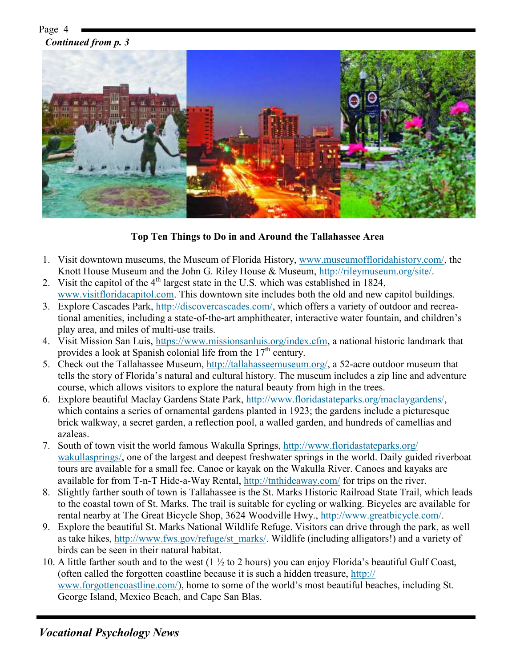Page 4 *Continued from p. 3*



#### **Top Ten Things to Do in and Around the Tallahassee Area**

- 1. Visit downtown museums, the Museum of Florida History, [www.museumoffloridahistory.com/,](http://www.museumoffloridahistory.com/) the Knott House Museum and the John G. Riley House & Museum, [http://rileymuseum.org/site/.](http://rileymuseum.org/site/)
- 2. Visit the capitol of the  $4<sup>th</sup>$  largest state in the U.S. which was established in 1824, [www.visitfloridacapitol.com.](http://www.visitfloridacapitol.com) This downtown site includes both the old and new capitol buildings.
- 3. Explore Cascades Park, [http://discovercascades.com/,](http://discovercascades.com/) which offers a variety of outdoor and recreational amenities, including a state-of-the-art amphitheater, interactive water fountain, and children's play area, and miles of multi-use trails.
- 4. Visit Mission San Luis, [https://www.missionsanluis.org/index.cfm,](https://www.missionsanluis.org/index.cfm) a national historic landmark that provides a look at Spanish colonial life from the  $17<sup>th</sup>$  century.
- 5. Check out the Tallahassee Museum, [http://tallahasseemuseum.org/,](http://tallahasseemuseum.org/) a 52-acre outdoor museum that tells the story of Florida's natural and cultural history. The museum includes a zip line and adventure course, which allows visitors to explore the natural beauty from high in the trees.
- 6. Explore beautiful Maclay Gardens State Park, [http://www.floridastateparks.org/maclaygardens/,](http://www.floridastateparks.org/maclaygardens/) which contains a series of ornamental gardens planted in 1923; the gardens include a picturesque brick walkway, a secret garden, a reflection pool, a walled garden, and hundreds of camellias and azaleas.
- 7. South of town visit the world famous Wakulla Springs, [http://www.floridastateparks.org/](http://www.floridastateparks.org/wakullasprings/) [wakullasprings/,](http://www.floridastateparks.org/wakullasprings/) one of the largest and deepest freshwater springs in the world. Daily guided riverboat tours are available for a small fee. Canoe or kayak on the Wakulla River. Canoes and kayaks are available for from T-n-T Hide-a-Way Rental,<http://tnthideaway.com/> for trips on the river.
- 8. Slightly farther south of town is Tallahassee is the St. Marks Historic Railroad State Trail, which leads to the coastal town of St. Marks. The trail is suitable for cycling or walking. Bicycles are available for rental nearby at The Great Bicycle Shop, 3624 Woodville Hwy., [http://www.greatbicycle.com/.](http://www.greatbicycle.com/)
- 9. Explore the beautiful St. Marks National Wildlife Refuge. Visitors can drive through the park, as well as take hikes, [http://www.fws.gov/refuge/st\\_marks/.](http://www.fws.gov/refuge/st_marks/) Wildlife (including alligators!) and a variety of birds can be seen in their natural habitat.
- 10. A little farther south and to the west (1  $\frac{1}{2}$  to 2 hours) you can enjoy Florida's beautiful Gulf Coast, (often called the forgotten coastline because it is such a hidden treasure, [http://](http://www.forgottencoastline.com/) [www.forgottencoastline.com/\)](http://www.forgottencoastline.com/), home to some of the world's most beautiful beaches, including St. George Island, Mexico Beach, and Cape San Blas.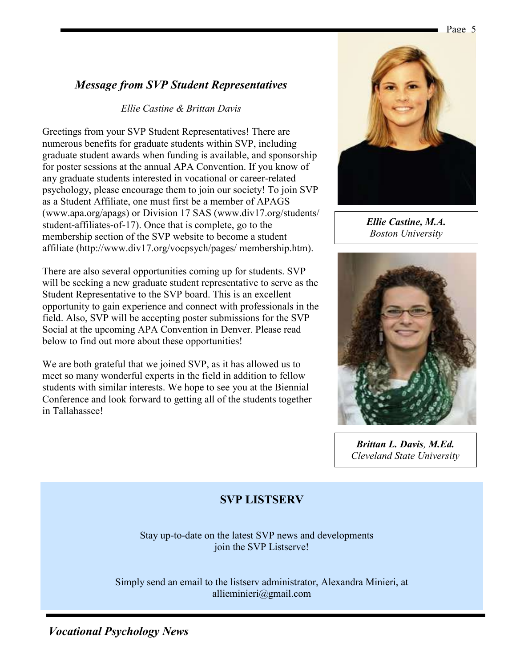#### *Message from SVP Student Representatives*

#### *Ellie Castine & Brittan Davis*

Greetings from your SVP Student Representatives! There are numerous benefits for graduate students within SVP, including graduate student awards when funding is available, and sponsorship for poster sessions at the annual APA Convention. If you know of any graduate students interested in vocational or career-related psychology, please encourage them to join our society! To join SVP as a Student Affiliate, one must first be a member of APAGS (www.apa.org/apags) or Division 17 SAS (www.div17.org/students/ student-affiliates-of-17). Once that is complete, go to the membership section of the SVP website to become a student affiliate (http://www.div17.org/vocpsych/pages/ membership.htm).

There are also several opportunities coming up for students. SVP will be seeking a new graduate student representative to serve as the Student Representative to the SVP board. This is an excellent opportunity to gain experience and connect with professionals in the field. Also, SVP will be accepting poster submissions for the SVP Social at the upcoming APA Convention in Denver. Please read below to find out more about these opportunities!

We are both grateful that we joined SVP, as it has allowed us to meet so many wonderful experts in the field in addition to fellow students with similar interests. We hope to see you at the Biennial Conference and look forward to getting all of the students together in Tallahassee!



Page 5

*Ellie Castine, M.A. Boston University*



*Brittan L. Davis, M.Ed. Cleveland State University*

#### **SVP LISTSERV**

Stay up-to-date on the latest SVP news and developments join the SVP Listserve!

Simply send an email to the listserv administrator, Alexandra Minieri, at allieminieri@gmail.com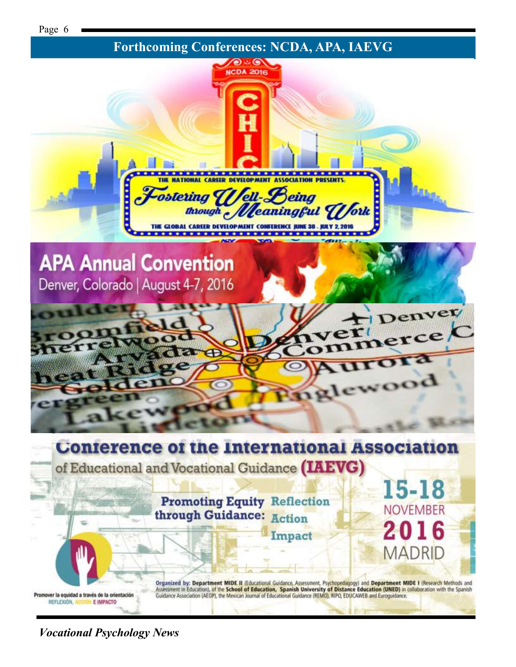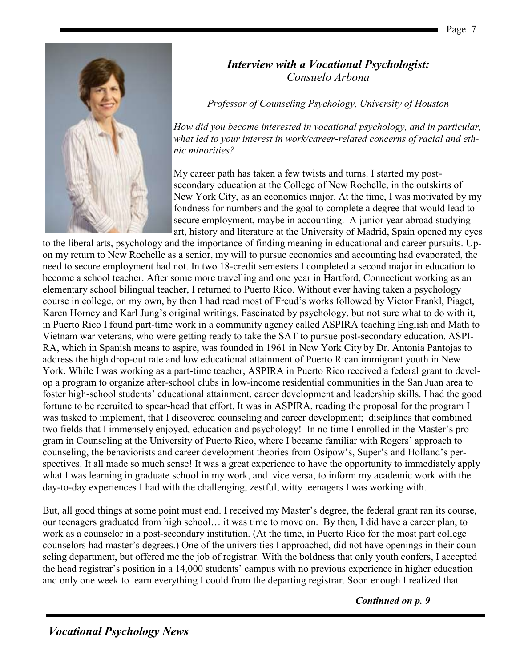#### *Interview with a Vocational Psychologist: Consuelo Arbona*

*Professor of Counseling Psychology, University of Houston*

*How did you become interested in vocational psychology, and in particular, what led to your interest in work/career-related concerns of racial and ethnic minorities?*

My career path has taken a few twists and turns. I started my postsecondary education at the College of New Rochelle, in the outskirts of New York City, as an economics major. At the time, I was motivated by my fondness for numbers and the goal to complete a degree that would lead to secure employment, maybe in accounting. A junior year abroad studying art, history and literature at the University of Madrid, Spain opened my eyes

to the liberal arts, psychology and the importance of finding meaning in educational and career pursuits. Upon my return to New Rochelle as a senior, my will to pursue economics and accounting had evaporated, the need to secure employment had not. In two 18-credit semesters I completed a second major in education to become a school teacher. After some more travelling and one year in Hartford, Connecticut working as an elementary school bilingual teacher, I returned to Puerto Rico. Without ever having taken a psychology course in college, on my own, by then I had read most of Freud's works followed by Victor Frankl, Piaget, Karen Horney and Karl Jung's original writings. Fascinated by psychology, but not sure what to do with it, in Puerto Rico I found part-time work in a community agency called ASPIRA teaching English and Math to Vietnam war veterans, who were getting ready to take the SAT to pursue post-secondary education. ASPI-RA, which in Spanish means to aspire, was founded in 1961 in New York City by Dr. Antonia Pantojas to address the high drop-out rate and low educational attainment of Puerto Rican immigrant youth in New York. While I was working as a part-time teacher, ASPIRA in Puerto Rico received a federal grant to develop a program to organize after-school clubs in low-income residential communities in the San Juan area to foster high-school students' educational attainment, career development and leadership skills. I had the good fortune to be recruited to spear-head that effort. It was in ASPIRA, reading the proposal for the program I was tasked to implement, that I discovered counseling and career development; disciplines that combined two fields that I immensely enjoyed, education and psychology! In no time I enrolled in the Master's program in Counseling at the University of Puerto Rico, where I became familiar with Rogers' approach to counseling, the behaviorists and career development theories from Osipow's, Super's and Holland's perspectives. It all made so much sense! It was a great experience to have the opportunity to immediately apply what I was learning in graduate school in my work, and vice versa, to inform my academic work with the day-to-day experiences I had with the challenging, zestful, witty teenagers I was working with.

But, all good things at some point must end. I received my Master's degree, the federal grant ran its course, our teenagers graduated from high school… it was time to move on. By then, I did have a career plan, to work as a counselor in a post-secondary institution. (At the time, in Puerto Rico for the most part college counselors had master's degrees.) One of the universities I approached, did not have openings in their counseling department, but offered me the job of registrar. With the boldness that only youth confers, I accepted the head registrar's position in a 14,000 students' campus with no previous experience in higher education and only one week to learn everything I could from the departing registrar. Soon enough I realized that

*Continued on p. 9*

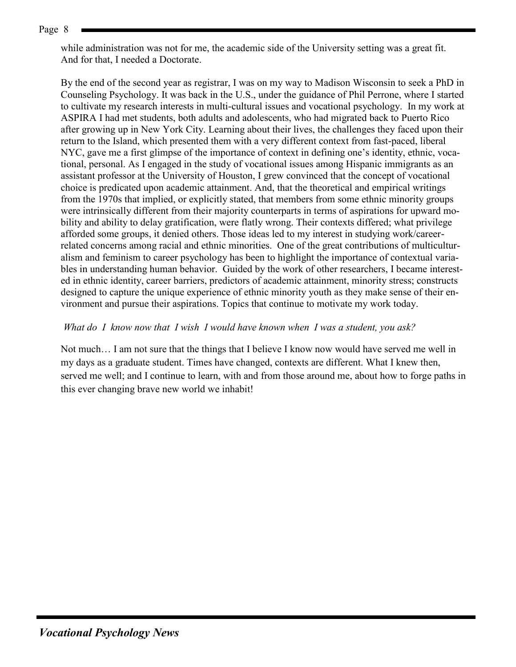Page 8

while administration was not for me, the academic side of the University setting was a great fit. And for that, I needed a Doctorate.

By the end of the second year as registrar, I was on my way to Madison Wisconsin to seek a PhD in Counseling Psychology. It was back in the U.S., under the guidance of Phil Perrone, where I started to cultivate my research interests in multi-cultural issues and vocational psychology. In my work at ASPIRA I had met students, both adults and adolescents, who had migrated back to Puerto Rico after growing up in New York City. Learning about their lives, the challenges they faced upon their return to the Island, which presented them with a very different context from fast-paced, liberal NYC, gave me a first glimpse of the importance of context in defining one's identity, ethnic, vocational, personal. As I engaged in the study of vocational issues among Hispanic immigrants as an assistant professor at the University of Houston, I grew convinced that the concept of vocational choice is predicated upon academic attainment. And, that the theoretical and empirical writings from the 1970s that implied, or explicitly stated, that members from some ethnic minority groups were intrinsically different from their majority counterparts in terms of aspirations for upward mobility and ability to delay gratification, were flatly wrong. Their contexts differed; what privilege afforded some groups, it denied others. Those ideas led to my interest in studying work/careerrelated concerns among racial and ethnic minorities. One of the great contributions of multiculturalism and feminism to career psychology has been to highlight the importance of contextual variables in understanding human behavior. Guided by the work of other researchers, I became interested in ethnic identity, career barriers, predictors of academic attainment, minority stress; constructs designed to capture the unique experience of ethnic minority youth as they make sense of their environment and pursue their aspirations. Topics that continue to motivate my work today.

#### *What do I know now that I wish I would have known when I was a student, you ask?*

Not much… I am not sure that the things that I believe I know now would have served me well in my days as a graduate student. Times have changed, contexts are different. What I knew then, served me well; and I continue to learn, with and from those around me, about how to forge paths in this ever changing brave new world we inhabit!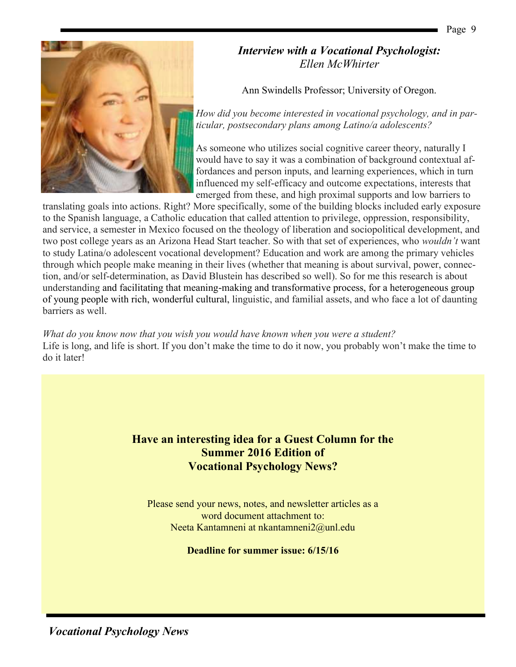#### *Interview with a Vocational Psychologist: Ellen McWhirter*

Ann Swindells Professor; University of Oregon.

*How did you become interested in vocational psychology, and in particular, postsecondary plans among Latino/a adolescents?*

As someone who utilizes social cognitive career theory, naturally I would have to say it was a combination of background contextual affordances and person inputs, and learning experiences, which in turn influenced my self-efficacy and outcome expectations, interests that emerged from these, and high proximal supports and low barriers to

translating goals into actions. Right? More specifically, some of the building blocks included early exposure to the Spanish language, a Catholic education that called attention to privilege, oppression, responsibility, and service, a semester in Mexico focused on the theology of liberation and sociopolitical development, and two post college years as an Arizona Head Start teacher. So with that set of experiences, who *wouldn't* want to study Latina/o adolescent vocational development? Education and work are among the primary vehicles through which people make meaning in their lives (whether that meaning is about survival, power, connection, and/or self-determination, as David Blustein has described so well). So for me this research is about understanding and facilitating that meaning-making and transformative process, for a heterogeneous group of young people with rich, wonderful cultural, linguistic, and familial assets, and who face a lot of daunting barriers as well.

*What do you know now that you wish you would have known when you were a student?* Life is long, and life is short. If you don't make the time to do it now, you probably won't make the time to do it later!

> **Have an interesting idea for a Guest Column for the Summer 2016 Edition of Vocational Psychology News?**

Please send your news, notes, and newsletter articles as a word document attachment to: Neeta Kantamneni at nkantamneni2@unl.edu

**Deadline for summer issue: 6/15/16**

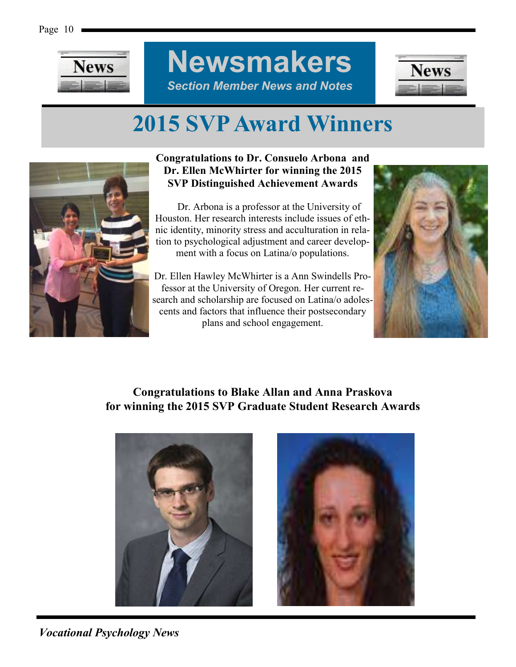

**Newsmakers** *Section Member News and Notes*



## **2015 SVP Award Winners**



#### **Congratulations to Dr. Consuelo Arbona and Dr. Ellen McWhirter for winning the 2015 SVP Distinguished Achievement Awards**

 Dr. Arbona is a professor at the University of Houston. Her research interests include issues of ethnic identity, minority stress and acculturation in relation to psychological adjustment and career development with a focus on Latina/o populations.

Dr. Ellen Hawley McWhirter is a Ann Swindells Professor at the University of Oregon. Her current research and scholarship are focused on Latina/o adolescents and factors that influence their postsecondary plans and school engagement.



#### **Congratulations to Blake Allan and Anna Praskova for winning the 2015 SVP Graduate Student Research Awards**



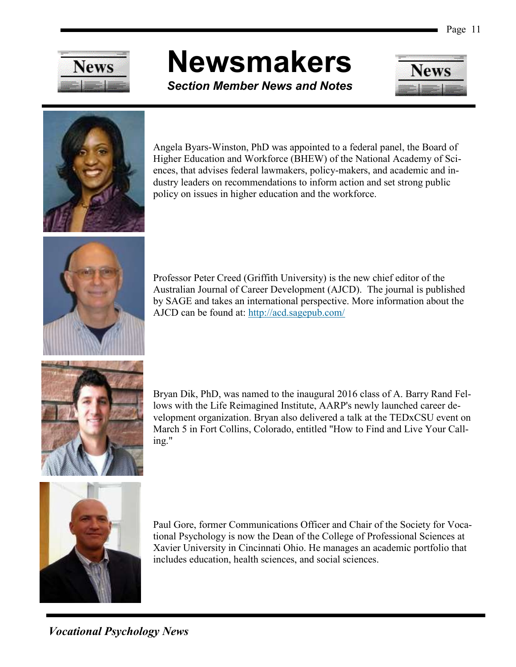

# **Newsmakers**

*Section Member News and Notes*





Angela Byars-Winston, PhD was appointed to a federal panel, the Board of Higher Education and Workforce (BHEW) of the National Academy of Sciences, that advises federal lawmakers, policy-makers, and academic and industry leaders on recommendations to inform action and set strong public policy on issues in higher education and the workforce.



Professor Peter Creed (Griffith University) is the new chief editor of the Australian Journal of Career Development (AJCD). The journal is published by SAGE and takes an international perspective. More information about the AJCD can be found at: <http://acd.sagepub.com/>



Bryan Dik, PhD, was named to the inaugural 2016 class of A. Barry Rand Fellows with the Life Reimagined Institute, AARP's newly launched career development organization. Bryan also delivered a talk at the TEDxCSU event on March 5 in Fort Collins, Colorado, entitled "How to Find and Live Your Calling."



Paul Gore, former Communications Officer and Chair of the Society for Vocational Psychology is now the Dean of the College of Professional Sciences at Xavier University in Cincinnati Ohio. He manages an academic portfolio that includes education, health sciences, and social sciences.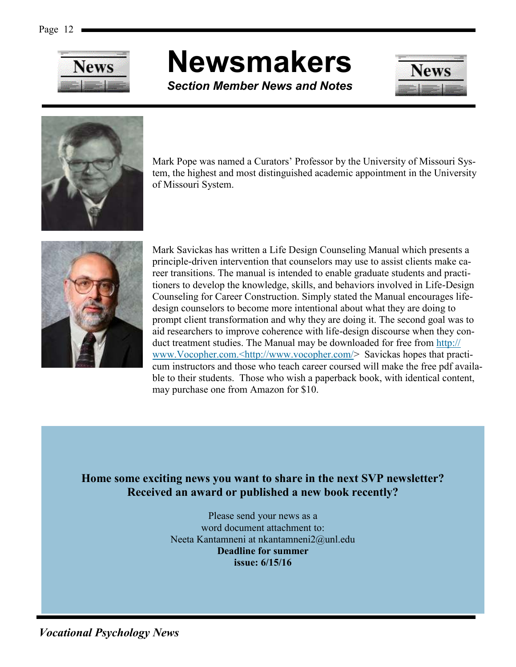

# **Newsmakers**

*Section Member News and Notes*





Mark Pope was named a Curators' Professor by the University of Missouri System, the highest and most distinguished academic appointment in the University of Missouri System.



Mark Savickas has written a Life Design Counseling Manual which presents a principle-driven intervention that counselors may use to assist clients make career transitions. The manual is intended to enable graduate students and practitioners to develop the knowledge, skills, and behaviors involved in Life-Design Counseling for Career Construction. Simply stated the Manual encourages lifedesign counselors to become more intentional about what they are doing to prompt client transformation and why they are doing it. The second goal was to aid researchers to improve coherence with life-design discourse when they conduct treatment studies. The Manual may be downloaded for free from [http://](http://www.Vocopher.com.%3chttp:/www.vocopher.com/) [www.Vocopher.com.<http://www.vocopher.com/>](http://www.Vocopher.com.%3chttp:/www.vocopher.com/) Savickas hopes that practicum instructors and those who teach career coursed will make the free pdf available to their students. Those who wish a paperback book, with identical content, may purchase one from Amazon for \$10.

#### **Home some exciting news you want to share in the next SVP newsletter? Received an award or published a new book recently?**

Please send your news as a word document attachment to: Neeta Kantamneni at nkantamneni2@unl.edu **Deadline for summer issue: 6/15/16**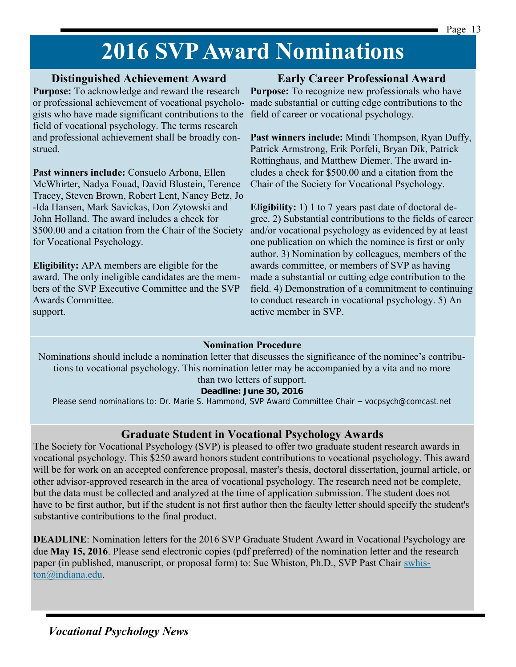## **2016 SVP Award Nominations**

#### **Distinguished Achievement Award**

**Purpose:** To acknowledge and reward the research or professional achievement of vocational psychologists who have made significant contributions to the field of career or vocational psychology. field of vocational psychology. The terms research and professional achievement shall be broadly construed.

**Past winners include:** Consuelo Arbona, Ellen McWhirter, Nadya Fouad, David Blustein, Terence Tracey, Steven Brown, Robert Lent, Nancy Betz, Jo -Ida Hansen, Mark Savickas, Don Zytowski and John Holland. The award includes a check for \$500.00 and a citation from the Chair of the Society for Vocational Psychology.

**Eligibility:** APA members are eligible for the award. The only ineligible candidates are the members of the SVP Executive Committee and the SVP Awards Committee. support.

#### **Early Career Professional Award**

**Purpose:** To recognize new professionals who have made substantial or cutting edge contributions to the

**Past winners include:** Mindi Thompson, Ryan Duffy, Patrick Armstrong, Erik Porfeli, Bryan Dik, Patrick Rottinghaus, and Matthew Diemer. The award includes a check for \$500.00 and a citation from the Chair of the Society for Vocational Psychology.

**Eligibility:** 1) 1 to 7 years past date of doctoral degree. 2) Substantial contributions to the fields of career and/or vocational psychology as evidenced by at least one publication on which the nominee is first or only author. 3) Nomination by colleagues, members of the awards committee, or members of SVP as having made a substantial or cutting edge contribution to the field. 4) Demonstration of a commitment to continuing to conduct research in vocational psychology. 5) An active member in SVP.

#### **Nomination Procedure**

Nominations should include a nomination letter that discusses the significance of the nominee's contributions to vocational psychology. This nomination letter may be accompanied by a vita and no more than two letters of support.

**Deadline: June 30, 2016**

Please send nominations to: Dr. Marie S. Hammond, SVP Award Committee Chair – vocpsych@comcast.net

#### **Graduate Student in Vocational Psychology Awards**

The Society for Vocational Psychology (SVP) is pleased to offer two graduate student research awards in vocational psychology. This \$250 award honors student contributions to vocational psychology. This award will be for work on an accepted conference proposal, master's thesis, doctoral dissertation, journal article, or other advisor-approved research in the area of vocational psychology. The research need not be complete, but the data must be collected and analyzed at the time of application submission. The student does not have to be first author, but if the student is not first author then the faculty letter should specify the student's substantive contributions to the final product.

**DEADLINE**: Nomination letters for the 2016 SVP Graduate Student Award in Vocational Psychology are due **May 15, 2016**. Please send electronic copies (pdf preferred) of the nomination letter and the research paper (in published, manuscript, or proposal form) to: Sue Whiston, Ph.D., SVP Past Chair [swhis](mailto:swhiston@indiana.edu)[ton@indiana.edu.](mailto:swhiston@indiana.edu)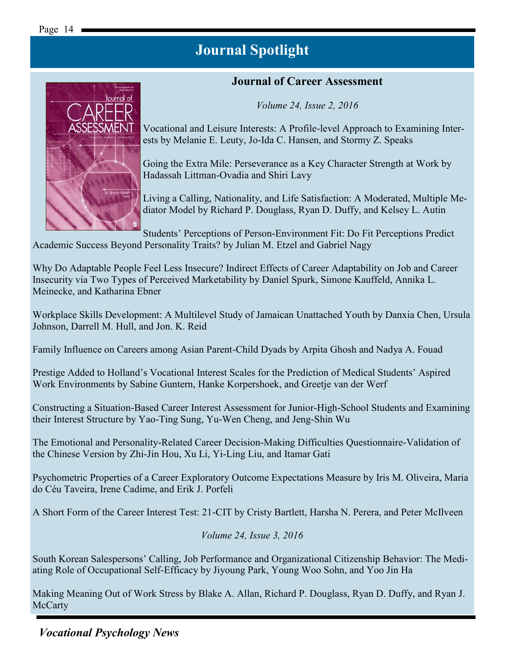#### **Journal of Career Assessment**

*Volume 24, Issue 2, 2016*



Vocational and Leisure Interests: A Profile-level Approach to Examining Interests by Melanie E. Leuty, Jo-Ida C. Hansen, and Stormy Z. Speaks

Going the Extra Mile: Perseverance as a Key Character Strength at Work by Hadassah Littman-Ovadia and Shiri Lavy

Living a Calling, Nationality, and Life Satisfaction: A Moderated, Multiple Mediator Model by Richard P. Douglass, Ryan D. Duffy, and Kelsey L. Autin

Students' Perceptions of Person-Environment Fit: Do Fit Perceptions Predict Academic Success Beyond Personality Traits? by Julian M. Etzel and Gabriel Nagy

Why Do Adaptable People Feel Less Insecure? Indirect Effects of Career Adaptability on Job and Career Insecurity via Two Types of Perceived Marketability by Daniel Spurk, Simone Kauffeld, Annika L. Meinecke, and Katharina Ebner

Workplace Skills Development: A Multilevel Study of Jamaican Unattached Youth by Danxia Chen, Ursula Johnson, Darrell M. Hull, and Jon. K. Reid

Family Influence on Careers among Asian Parent-Child Dyads by Arpita Ghosh and Nadya A. Fouad

Prestige Added to Holland's Vocational Interest Scales for the Prediction of Medical Students' Aspired Work Environments by Sabine Guntern, Hanke Korpershoek, and Greetje van der Werf

Constructing a Situation-Based Career Interest Assessment for Junior-High-School Students and Examining their Interest Structure by Yao-Ting Sung, Yu-Wen Cheng, and Jeng-Shin Wu

The Emotional and Personality-Related Career Decision-Making Difficulties Questionnaire-Validation of the Chinese Version by Zhi-Jin Hou, Xu Li, Yi-Ling Liu, and Itamar Gati

Psychometric Properties of a Career Exploratory Outcome Expectations Measure by Iris M. Oliveira, Maria do Céu Taveira, Irene Cadime, and Erik J. Porfeli

A Short Form of the Career Interest Test: 21-CIT by Cristy Bartlett, Harsha N. Perera, and Peter McIlveen

#### *Volume 24, Issue 3, 2016*

South Korean Salespersons' Calling, Job Performance and Organizational Citizenship Behavior: The Mediating Role of Occupational Self-Efficacy by Jiyoung Park, Young Woo Sohn, and Yoo Jin Ha

Making Meaning Out of Work Stress by Blake A. Allan, Richard P. Douglass, Ryan D. Duffy, and Ryan J. **McCarty**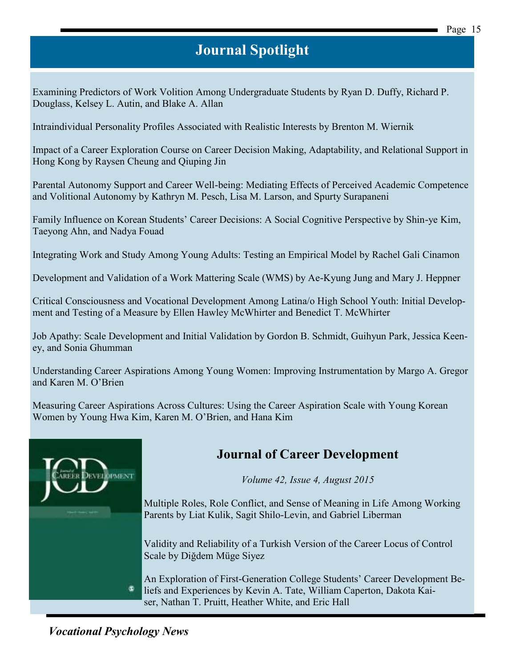Examining Predictors of Work Volition Among Undergraduate Students by Ryan D. Duffy, Richard P. Douglass, Kelsey L. Autin, and Blake A. Allan

Intraindividual Personality Profiles Associated with Realistic Interests by Brenton M. Wiernik

Impact of a Career Exploration Course on Career Decision Making, Adaptability, and Relational Support in Hong Kong by Raysen Cheung and Qiuping Jin

Parental Autonomy Support and Career Well-being: Mediating Effects of Perceived Academic Competence and Volitional Autonomy by Kathryn M. Pesch, Lisa M. Larson, and Spurty Surapaneni

Family Influence on Korean Students' Career Decisions: A Social Cognitive Perspective by Shin-ye Kim, Taeyong Ahn, and Nadya Fouad

Integrating Work and Study Among Young Adults: Testing an Empirical Model by Rachel Gali Cinamon

Development and Validation of a Work Mattering Scale (WMS) by Ae-Kyung Jung and Mary J. Heppner

Critical Consciousness and Vocational Development Among Latina/o High School Youth: Initial Development and Testing of a Measure by Ellen Hawley McWhirter and Benedict T. McWhirter

Job Apathy: Scale Development and Initial Validation by Gordon B. Schmidt, Guihyun Park, Jessica Keeney, and Sonia Ghumman

Understanding Career Aspirations Among Young Women: Improving Instrumentation by Margo A. Gregor and Karen M. O'Brien

Measuring Career Aspirations Across Cultures: Using the Career Aspiration Scale with Young Korean Women by Young Hwa Kim, Karen M. O'Brien, and Hana Kim



### **Journal of Career Development**

*Volume 42, Issue 4, August 2015*

Multiple Roles, Role Conflict, and Sense of Meaning in Life Among Working Parents by Liat Kulik, Sagit Shilo-Levin, and Gabriel Liberman

Validity and Reliability of a Turkish Version of the Career Locus of Control Scale by Diğdem Müge Siyez

An Exploration of First-Generation College Students' Career Development Beliefs and Experiences by Kevin A. Tate, William Caperton, Dakota Kaiser, Nathan T. Pruitt, Heather White, and Eric Hall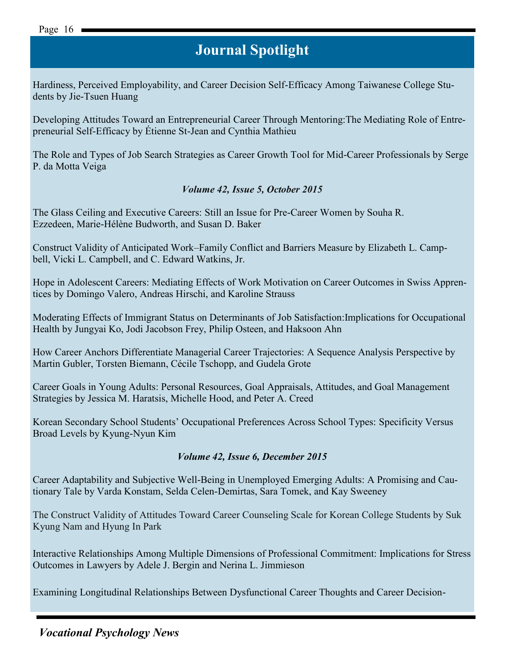Hardiness, Perceived Employability, and Career Decision Self-Efficacy Among Taiwanese College Students by Jie-Tsuen Huang

Developing Attitudes Toward an Entrepreneurial Career Through Mentoring:The Mediating Role of Entrepreneurial Self-Efficacy by Étienne St-Jean and Cynthia Mathieu

The Role and Types of Job Search Strategies as Career Growth Tool for Mid-Career Professionals by Serge P. da Motta Veiga

#### *Volume 42, Issue 5, October 2015*

The Glass Ceiling and Executive Careers: Still an Issue for Pre-Career Women by Souha R. Ezzedeen, Marie-Hélène Budworth, and Susan D. Baker

Construct Validity of Anticipated Work–Family Conflict and Barriers Measure by Elizabeth L. Campbell, Vicki L. Campbell, and C. Edward Watkins, Jr.

Hope in Adolescent Careers: Mediating Effects of Work Motivation on Career Outcomes in Swiss Apprentices by Domingo Valero, Andreas Hirschi, and Karoline Strauss

Moderating Effects of Immigrant Status on Determinants of Job Satisfaction:Implications for Occupational Health by Jungyai Ko, Jodi Jacobson Frey, Philip Osteen, and Haksoon Ahn

How Career Anchors Differentiate Managerial Career Trajectories: A Sequence Analysis Perspective by Martin Gubler, Torsten Biemann, Cécile Tschopp, and Gudela Grote

Career Goals in Young Adults: Personal Resources, Goal Appraisals, Attitudes, and Goal Management Strategies by Jessica M. Haratsis, Michelle Hood, and Peter A. Creed

Korean Secondary School Students' Occupational Preferences Across School Types: Specificity Versus Broad Levels by Kyung-Nyun Kim

#### *Volume 42, Issue 6, December 2015*

Career Adaptability and Subjective Well-Being in Unemployed Emerging Adults: A Promising and Cautionary Tale by Varda Konstam, Selda Celen-Demirtas, Sara Tomek, and Kay Sweeney

The Construct Validity of Attitudes Toward Career Counseling Scale for Korean College Students by Suk Kyung Nam and Hyung In Park

Interactive Relationships Among Multiple Dimensions of Professional Commitment: Implications for Stress Outcomes in Lawyers by Adele J. Bergin and Nerina L. Jimmieson

Examining Longitudinal Relationships Between Dysfunctional Career Thoughts and Career Decision-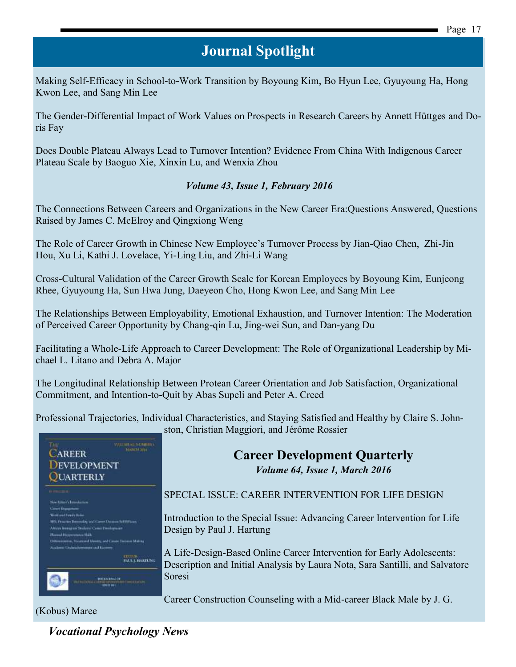Making Self-Efficacy in School-to-Work Transition by Boyoung Kim, Bo Hyun Lee, Gyuyoung Ha, Hong Kwon Lee, and Sang Min Lee

The Gender-Differential Impact of Work Values on Prospects in Research Careers by Annett Hüttges and Doris Fay

Does Double Plateau Always Lead to Turnover Intention? Evidence From China With Indigenous Career Plateau Scale by Baoguo Xie, Xinxin Lu, and Wenxia Zhou

#### *Volume 43, Issue 1, February 2016*

The Connections Between Careers and Organizations in the New Career Era:Questions Answered, Questions Raised by James C. McElroy and Qingxiong Weng

The Role of Career Growth in Chinese New Employee's Turnover Process by Jian-Qiao Chen, Zhi-Jin Hou, Xu Li, Kathi J. Lovelace, Yi-Ling Liu, and Zhi-Li Wang

Cross-Cultural Validation of the Career Growth Scale for Korean Employees by Boyoung Kim, Eunjeong Rhee, Gyuyoung Ha, Sun Hwa Jung, Daeyeon Cho, Hong Kwon Lee, and Sang Min Lee

The Relationships Between Employability, Emotional Exhaustion, and Turnover Intention: The Moderation of Perceived Career Opportunity by Chang-qin Lu, Jing-wei Sun, and Dan-yang Du

Facilitating a Whole-Life Approach to Career Development: The Role of Organizational Leadership by Michael L. Litano and Debra A. Major

The Longitudinal Relationship Between Protean Career Orientation and Job Satisfaction, Organizational Commitment, and Intention-to-Quit by Abas Supeli and Peter A. Creed

Professional Trajectories, Individual Characteristics, and Staying Satisfied and Healthy by Claire S. Johnston, Christian Maggiori, and Jérôme Rossier



#### **Career Development Quarterly** *Volume 64, Issue 1, March 2016*

SPECIAL ISSUE: CAREER INTERVENTION FOR LIFE DESIGN

Introduction to the Special Issue: Advancing Career Intervention for Life Design by Paul J. Hartung

A Life-Design-Based Online Career Intervention for Early Adolescents: Description and Initial Analysis by Laura Nota, Sara Santilli, and Salvatore Soresi

Career Construction Counseling with a Mid-career Black Male by J. G.

(Kobus) Maree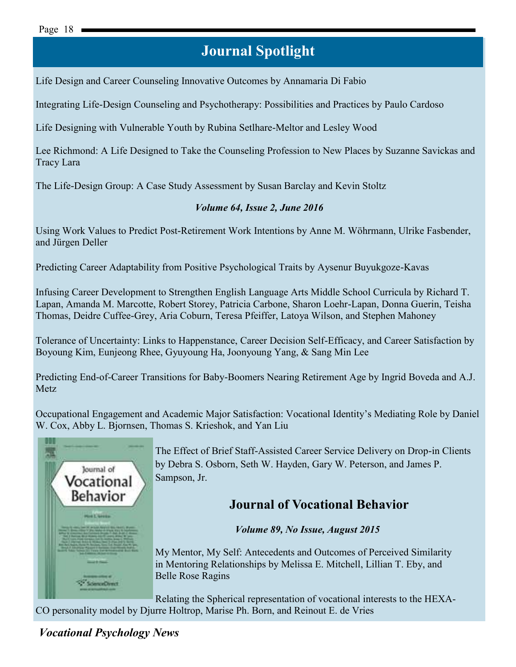Life Design and Career Counseling Innovative Outcomes by Annamaria Di Fabio

Integrating Life-Design Counseling and Psychotherapy: Possibilities and Practices by Paulo Cardoso

Life Designing with Vulnerable Youth by Rubina Setlhare-Meltor and Lesley Wood

Lee Richmond: A Life Designed to Take the Counseling Profession to New Places by Suzanne Savickas and Tracy Lara

The Life-Design Group: A Case Study Assessment by Susan Barclay and Kevin Stoltz

#### *Volume 64, Issue 2, June 2016*

Using Work Values to Predict Post-Retirement Work Intentions by Anne M. Wöhrmann, Ulrike Fasbender, and Jürgen Deller

Predicting Career Adaptability from Positive Psychological Traits by Aysenur Buyukgoze-Kavas

Infusing Career Development to Strengthen English Language Arts Middle School Curricula by Richard T. Lapan, Amanda M. Marcotte, Robert Storey, Patricia Carbone, Sharon Loehr-Lapan, Donna Guerin, Teisha Thomas, Deidre Cuffee-Grey, Aria Coburn, Teresa Pfeiffer, Latoya Wilson, and Stephen Mahoney

Tolerance of Uncertainty: Links to Happenstance, Career Decision Self-Efficacy, and Career Satisfaction by Boyoung Kim, Eunjeong Rhee, Gyuyoung Ha, Joonyoung Yang, & Sang Min Lee

Predicting End-of-Career Transitions for Baby-Boomers Nearing Retirement Age by Ingrid Boveda and A.J. Metz

Occupational Engagement and Academic Major Satisfaction: Vocational Identity's Mediating Role by Daniel W. Cox, Abby L. Bjornsen, Thomas S. Krieshok, and Yan Liu



The Effect of Brief Staff-Assisted Career Service Delivery on Drop-in Clients by Debra S. Osborn, Seth W. Hayden, Gary W. Peterson, and James P. Sampson, Jr.

### **Journal of Vocational Behavior**

*Volume 89, No Issue, August 2015*

[My Mentor, My Self: Antecedents and Outcomes of Perceived Similarity](http://www.sciencedirect.com/science/article/pii/S0001879115000433)  [in Mentoring Relationships b](http://www.sciencedirect.com/science/article/pii/S0001879115000433)y Melissa E. Mitchell, Lillian T. Eby, and Belle Rose Ragins

[Relating the Spherical representation of vocational interests to the HEXA-](http://www.sciencedirect.com/science/article/pii/S000187911500038X)[CO personality model](http://www.sciencedirect.com/science/article/pii/S000187911500038X) by Djurre Holtrop, Marise Ph. Born, and Reinout E. de Vries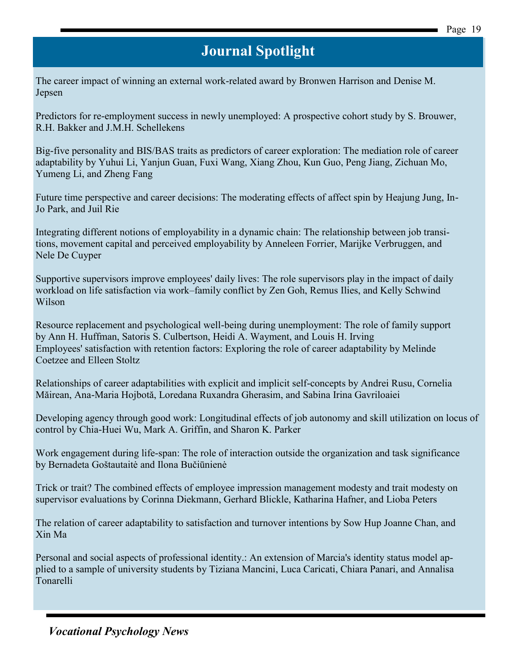[The career impact of winning an external work-related award b](http://www.sciencedirect.com/science/article/pii/S0001879115000391)y Bronwen Harrison and Denise M. Jepsen

[Predictors for re-employment success in newly unemployed: A prospective cohort study b](http://www.sciencedirect.com/science/article/pii/S0001879115000366)y S. Brouwer, R.H. Bakker and J.M.H. Schellekens

[Big-five personality and BIS/BAS traits as predictors of career exploration: The mediation role of career](http://www.sciencedirect.com/science/article/pii/S000187911500041X)  [adaptability b](http://www.sciencedirect.com/science/article/pii/S000187911500041X)y Yuhui Li, Yanjun Guan, Fuxi Wang, Xiang Zhou, Kun Guo, Peng Jiang, Zichuan Mo, Yumeng Li, and Zheng Fang

[Future time perspective and career decisions: The moderating effects of affect spin b](http://www.sciencedirect.com/science/article/pii/S0001879115000457)y Heajung Jung, In-Jo Park, and Juil Rie

[Integrating different notions of employability in a dynamic chain: The relationship between job transi](http://www.sciencedirect.com/science/article/pii/S0001879115000421)[tions, movement capital and perceived employability b](http://www.sciencedirect.com/science/article/pii/S0001879115000421)y Anneleen Forrier, Marijke Verbruggen, and Nele De Cuyper

Supportive supervisors improve employees' daily lives: The role supervisors play in the impact of daily workload on life satisfaction via work–family conflict by Zen Goh, Remus Ilies, and Kelly Schwind Wilson

[Resource replacement and psychological well-being during unemployment: The role of family support](http://www.sciencedirect.com/science/article/pii/S0001879115000469)  by Ann H. Huffman, Satoris S. Culbertson, Heidi A. Wayment, and Louis H. Irving [Employees' satisfaction with retention factors: Exploring the role of career adaptability b](http://www.sciencedirect.com/science/article/pii/S0001879115000548)y Melinde Coetzee and Elleen Stoltz

[Relationships of career adaptabilities with explicit and implicit self-concepts](http://www.sciencedirect.com/science/article/pii/S0001879115000573) by Andrei Rusu, Cornelia Măirean, Ana-Maria Hojbotă, Loredana Ruxandra Gherasim, and Sabina Irina Gavriloaiei

[Developing agency through good work: Longitudinal effects of job autonomy and skill utilization on locus of](http://www.sciencedirect.com/science/article/pii/S0001879115000585)  [control](http://www.sciencedirect.com/science/article/pii/S0001879115000585) by Chia-Huei Wu, Mark A. Griffin, and Sharon K. Parker

[Work engagement during life-span: The role of interaction outside the organization and task significance](http://www.sciencedirect.com/science/article/pii/S000187911500055X)  by Bernadeta Goštautaitė and Ilona Bučiūnienė

[Trick or trait? The combined effects of employee impression management modesty and trait modesty on](http://www.sciencedirect.com/science/article/pii/S0001879115000561)  [supervisor evaluations b](http://www.sciencedirect.com/science/article/pii/S0001879115000561)y Corinna Diekmann, Gerhard Blickle, Katharina Hafner, and Lioba Peters

[The relation of career adaptability to satisfaction and turnover intentions b](http://www.sciencedirect.com/science/article/pii/S0001879115000597)y Sow Hup Joanne Chan, and Xin Ma

[Personal and social aspects of professional identity.: An extension of Marcia's identity status model ap](http://www.sciencedirect.com/science/article/pii/S0001879115000615)[plied to a sample of university students](http://www.sciencedirect.com/science/article/pii/S0001879115000615) by Tiziana Mancini, Luca Caricati, Chiara Panari, and Annalisa Tonarelli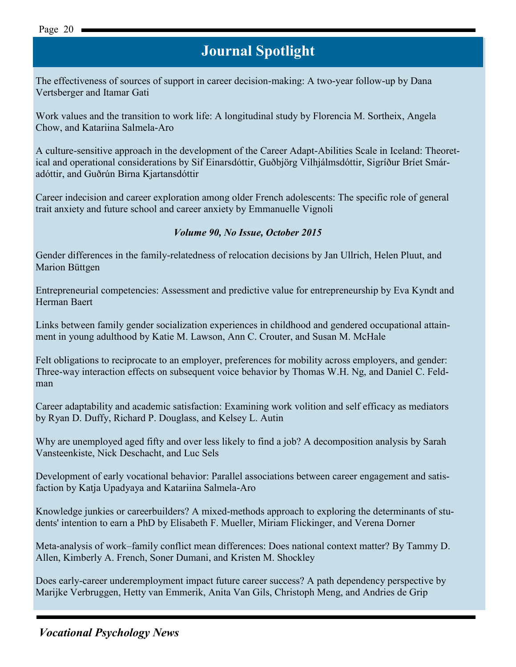[The effectiveness of sources of support in career decision-making: A two-year follow-up](http://www.sciencedirect.com/science/article/pii/S0001879115000639) by Dana Vertsberger and Itamar Gati

[Work values and the transition to work life: A longitudinal study b](http://www.sciencedirect.com/science/article/pii/S0001879115000603)y Florencia M. Sortheix, Angela Chow, and Katariina Salmela-Aro

[A culture-sensitive approach in the development of the Career Adapt-Abilities Scale in Iceland: Theoret](http://www.sciencedirect.com/science/article/pii/S0001879115000652)ical and operational [considerations](http://www.sciencedirect.com/science/article/pii/S0001879115000652) by Sif Einarsdóttir, Guðbjörg Vilhjálmsdóttir, Sigríður Bríet Smáradóttir, and Guðrún Birna Kjartansdóttir

[Career indecision and career exploration among older French adolescents: The specific role of general](http://www.sciencedirect.com/science/article/pii/S0001879115000640)  [trait anxiety and future school and career anxiety](http://www.sciencedirect.com/science/article/pii/S0001879115000640) by Emmanuelle Vignoli

#### *Volume 90, No Issue, October 2015*

[Gender differences in the family-relatedness of relocation decisions](http://www.sciencedirect.com/science/article/pii/S0001879115000627) by Jan Ullrich, Helen Pluut, and Marion Büttgen

[Entrepreneurial competencies: Assessment and predictive value for entrepreneurship](http://www.sciencedirect.com/science/article/pii/S0001879115000767) by Eva Kyndt and Herman Baert

Links between family gender socialization experiences in childhood and gendered occupational attainment in young adulthood by Katie M. Lawson, Ann C. Crouter, and Susan M. McHale

[Felt obligations to reciprocate to an employer, preferences for mobility across employers, and gender:](http://www.sciencedirect.com/science/article/pii/S0001879115000792)  [Three-way interaction effects on subsequent voice behavior b](http://www.sciencedirect.com/science/article/pii/S0001879115000792)y Thomas W.H. Ng, and Daniel C. Feldman

[Career adaptability and academic satisfaction: Examining work volition and self efficacy as mediators](http://www.sciencedirect.com/science/article/pii/S0001879115000810)  by Ryan D. Duffy, Richard P. Douglass, and Kelsey L. Autin

[Why are unemployed aged fifty and over less likely to find a job? A decomposition analysis b](http://www.sciencedirect.com/science/article/pii/S0001879115000780)y Sarah Vansteenkiste, Nick Deschacht, and Luc Sels

[Development of early vocational behavior: Parallel associations between career engagement and satis](http://www.sciencedirect.com/science/article/pii/S0001879115000822)[faction b](http://www.sciencedirect.com/science/article/pii/S0001879115000822)y Katja Upadyaya and Katariina Salmela-Aro

[Knowledge junkies or careerbuilders? A mixed-methods approach to exploring the determinants of stu](http://www.sciencedirect.com/science/article/pii/S0001879115000755)[dents' intention to earn a PhD](http://www.sciencedirect.com/science/article/pii/S0001879115000755) by Elisabeth F. Mueller, Miriam Flickinger, and Verena Dorner

[Meta-analysis of work–family conflict mean differences: Does national context matter? B](http://www.sciencedirect.com/science/article/pii/S0001879115000809)y Tammy D. Allen, Kimberly A. French, Soner Dumani, and Kristen M. Shockley

[Does early-career underemployment impact future career success? A path dependency perspective b](http://www.sciencedirect.com/science/article/pii/S0001879115000846)y Marijke Verbruggen, Hetty van Emmerik, Anita Van Gils, Christoph Meng, and Andries de Grip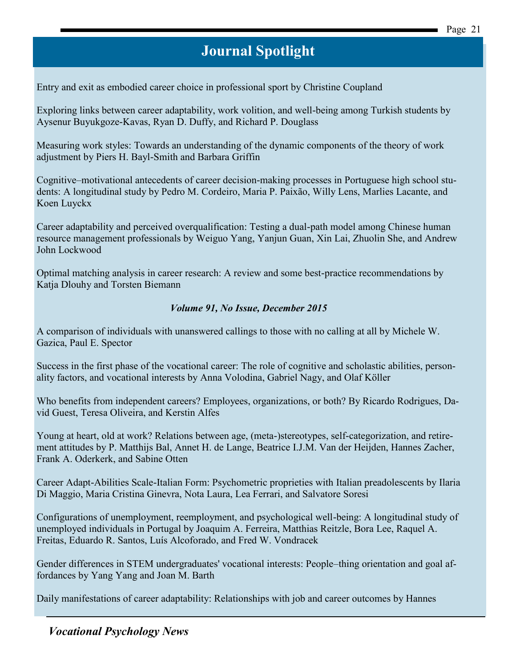[Entry and exit as embodied career choice in professional sport](http://www.sciencedirect.com/science/article/pii/S0001879115000858) by Christine Coupland

[Exploring links between career adaptability, work volition, and well-being among Turkish students b](http://www.sciencedirect.com/science/article/pii/S0001879115000883)y Aysenur Buyukgoze-Kavas, Ryan D. Duffy, and Richard P. Douglass

[Measuring work styles: Towards an understanding of the dynamic components of the theory of work](http://www.sciencedirect.com/science/article/pii/S000187911500086X)  [adjustment](http://www.sciencedirect.com/science/article/pii/S000187911500086X) by Piers H. Bayl-Smith and Barbara Griffin

[Cognitive–motivational antecedents of career decision-making processes in Portuguese high school stu](http://www.sciencedirect.com/science/article/pii/S0001879115000871)[dents: A longitudinal study b](http://www.sciencedirect.com/science/article/pii/S0001879115000871)y Pedro M. Cordeiro, Maria P. Paixão, Willy Lens, Marlies Lacante, and Koen Luyckx

[Career adaptability and perceived overqualification: Testing a dual-path model among Chinese human](http://www.sciencedirect.com/science/article/pii/S0001879115000895)  [resource management professionals b](http://www.sciencedirect.com/science/article/pii/S0001879115000895)y Weiguo Yang, Yanjun Guan, Xin Lai, Zhuolin She, and Andrew John Lockwood

[Optimal matching analysis in career research: A review and some best-practice recommendations b](http://www.sciencedirect.com/science/article/pii/S0001879115000408)y Katja Dlouhy and Torsten Biemann

#### *Volume 91, No Issue, December 2015*

[A comparison of individuals with unanswered callings to those with no calling at all b](http://www.sciencedirect.com/science/article/pii/S0001879115000901)y Michele W. Gazica, Paul E. Spector

[Success in the first phase of the vocational career: The role of cognitive and scholastic abilities, person](http://www.sciencedirect.com/science/article/pii/S0001879115000913)[ality factors, and vocational interests b](http://www.sciencedirect.com/science/article/pii/S0001879115000913)y Anna Volodina, Gabriel Nagy, and Olaf Köller

[Who benefits from independent careers? Employees, organizations, or both? B](http://www.sciencedirect.com/science/article/pii/S0001879115001037)y Ricardo Rodrigues, David Guest, Teresa Oliveira, and Kerstin Alfes

[Young at heart, old at work? Relations between age, \(meta-\)stereotypes, self-categorization, and retire](http://www.sciencedirect.com/science/article/pii/S0001879115001001)[ment attitudes](http://www.sciencedirect.com/science/article/pii/S0001879115001001) by P. Matthijs Bal, Annet H. de Lange, Beatrice I.J.M. Van der Heijden, Hannes Zacher, Frank A. Oderkerk, and Sabine Otten

[Career Adapt-Abilities Scale-Italian Form: Psychometric proprieties with Italian preadolescents](http://www.sciencedirect.com/science/article/pii/S0001879115000834) by Ilaria Di Maggio, Maria Cristina Ginevra, Nota Laura, Lea Ferrari, and Salvatore Soresi

[Configurations of unemployment, reemployment, and psychological well-being: A longitudinal study of](http://www.sciencedirect.com/science/article/pii/S0001879115001025)  [unemployed individuals in Portugal b](http://www.sciencedirect.com/science/article/pii/S0001879115001025)y Joaquim A. Ferreira, Matthias Reitzle, Bora Lee, Raquel A. Freitas, Eduardo R. Santos, Luís Alcoforado, and Fred W. Vondracek

[Gender differences in STEM undergraduates' vocational interests: People–thing orientation and goal af](http://www.sciencedirect.com/science/article/pii/S0001879115001062)[fordances b](http://www.sciencedirect.com/science/article/pii/S0001879115001062)y Yang Yang and Joan M. Barth

[Daily manifestations of career adaptability: Relationships with job and career outcomes b](http://www.sciencedirect.com/science/article/pii/S0001879115001013)y Hannes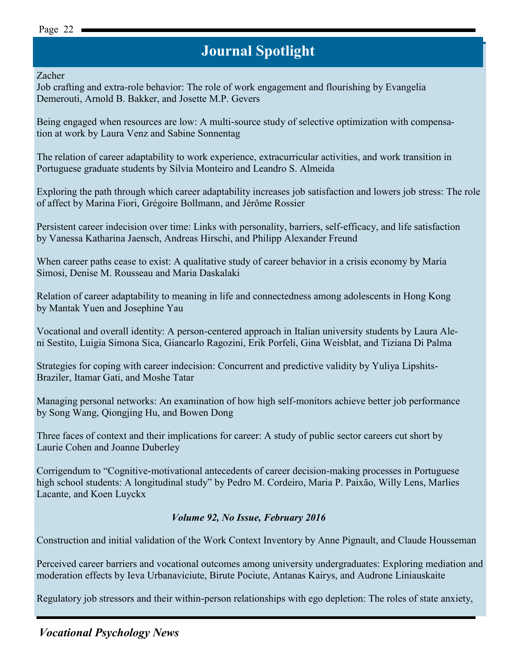## **Journal Spotlight Journal Spotlight**

Zacher

[Job crafting and extra-role behavior: The role of work engagement and flourishing b](http://www.sciencedirect.com/science/article/pii/S0001879115000937)y Evangelia Demerouti, Arnold B. Bakker, and Josette M.P. Gevers

[Being engaged when resources are low: A multi-source study of selective optimization with compensa](http://www.sciencedirect.com/science/article/pii/S0001879115001074)[tion at work](http://www.sciencedirect.com/science/article/pii/S0001879115001074) by Laura Venz and Sabine Sonnentag

[The relation of career adaptability to work experience, extracurricular activities, and work transition in](http://www.sciencedirect.com/science/article/pii/S0001879115001050)  [Portuguese graduate students](http://www.sciencedirect.com/science/article/pii/S0001879115001050) by Sílvia Monteiro and Leandro S. Almeida

[Exploring the path through which career adaptability increases job satisfaction and lowers job stress: The role](http://www.sciencedirect.com/science/article/pii/S0001879115000925)  [of affect b](http://www.sciencedirect.com/science/article/pii/S0001879115000925)y Marina Fiori, Grégoire Bollmann, and Jérôme Rossier

[Persistent career indecision over time: Links with personality, barriers, self-efficacy, and life satisfaction](http://www.sciencedirect.com/science/article/pii/S0001879115001098)  by Vanessa Katharina Jaensch, Andreas Hirschi, and Philipp Alexander Freund

[When career paths cease to exist: A qualitative study of career behavior in a crisis economy b](http://www.sciencedirect.com/science/article/pii/S0001879115001086)y Maria Simosi, Denise M. Rousseau and Maria Daskalaki

[Relation of career adaptability to meaning in life and connectedness among adolescents in Hong Kong](http://www.sciencedirect.com/science/article/pii/S0001879115300026)  by Mantak Yuen and Josephine Yau

[Vocational and overall identity: A person-centered approach in Italian university students](http://www.sciencedirect.com/science/article/pii/S0001879115300014) by Laura Aleni Sestito, Luigia Simona Sica, Giancarlo Ragozini, Erik Porfeli, Gina Weisblat, and Tiziana Di Palma

[Strategies for coping with career indecision: Concurrent and predictive validity b](http://www.sciencedirect.com/science/article/pii/S0001879115300038)y Yuliya Lipshits-Braziler, Itamar Gati, and Moshe Tatar

[Managing personal networks: An examination of how high self-monitors achieve better job performance](http://www.sciencedirect.com/science/article/pii/S000187911530004X)  by Song Wang, Qiongjing Hu, and Bowen Dong

[Three faces of context and their implications for career: A study of public sector careers cut short b](http://www.sciencedirect.com/science/article/pii/S0001879115300051)y Laurie Cohen and Joanne Duberley

[Corrigendum to "Cognitive-motivational antecedents of career decision-making processes in Portuguese](http://www.sciencedirect.com/science/article/pii/S0001879115001104)  [high school students: A longitudinal study" b](http://www.sciencedirect.com/science/article/pii/S0001879115001104)y Pedro M. Cordeiro, Maria P. Paixão, Willy Lens, Marlies Lacante, and Koen Luyckx

#### *Volume 92, No Issue, February 2016*

[Construction and initial validation of the Work Context Inventory](http://www.sciencedirect.com/science/article/pii/S0001879115300117) by Anne Pignault, and Claude Housseman

Perceived career barriers and vocational outcomes among university undergraduates: Exploring mediation and moderation effects by Ieva Urbanaviciute, Birute Pociute, Antanas Kairys, and Audrone Liniauskaite

[Regulatory job stressors and their within-person relationships with ego depletion: The roles of state anxiety,](http://www.sciencedirect.com/science/article/pii/S0001879115300099)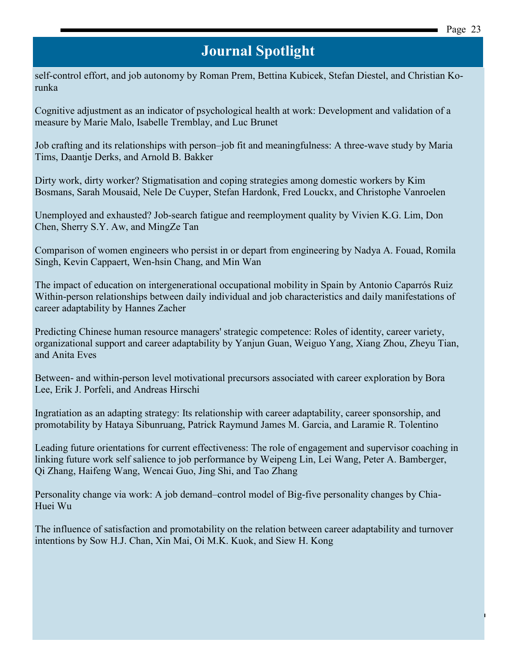[self-control effort, and job autonomy b](http://www.sciencedirect.com/science/article/pii/S0001879115300099)y Roman Prem, Bettina Kubicek, Stefan Diestel, and Christian Korunka

[Cognitive adjustment as an indicator of psychological health at work: Development and validation of a](http://www.sciencedirect.com/science/article/pii/S0001879115300105)  [measure](http://www.sciencedirect.com/science/article/pii/S0001879115300105) by Marie Malo, Isabelle Tremblay, and Luc Brunet

[Job crafting and its relationships with person–job fit and meaningfulness: A three-wave study b](http://www.sciencedirect.com/science/article/pii/S0001879115300129)y Maria Tims, Daantje Derks, and Arnold B. Bakker

[Dirty work, dirty worker? Stigmatisation and coping strategies among domestic workers b](http://www.sciencedirect.com/science/article/pii/S0001879115300130)y Kim Bosmans, Sarah Mousaid, Nele De Cuyper, Stefan Hardonk, Fred Louckx, and Christophe Vanroelen

[Unemployed and exhausted? Job-search fatigue and reemployment quality b](http://www.sciencedirect.com/science/article/pii/S0001879115300087)y Vivien K.G. Lim, Don Chen, Sherry S.Y. Aw, and MingZe Tan

[Comparison of women engineers who persist in or depart from engineering b](http://www.sciencedirect.com/science/article/pii/S0001879115300075)y Nadya A. Fouad, Romila Singh, Kevin Cappaert, Wen-hsin Chang, and Min Wan

[The impact of education on intergenerational occupational mobility in Spain](http://www.sciencedirect.com/science/article/pii/S0001879115300154) by Antonio Caparrós Ruiz [Within-person relationships between daily individual and job characteristics and daily manifestations of](http://www.sciencedirect.com/science/article/pii/S000187911530018X)  [career adaptability](http://www.sciencedirect.com/science/article/pii/S000187911530018X) by Hannes Zacher

[Predicting Chinese human resource managers' strategic competence: Roles of identity, career variety,](http://www.sciencedirect.com/science/article/pii/S0001879115300178)  [organizational support and career adaptability](http://www.sciencedirect.com/science/article/pii/S0001879115300178) by Yanjun Guan, Weiguo Yang, Xiang Zhou, Zheyu Tian, and Anita Eves

Between- [and within-person level motivational precursors associated with career exploration b](http://www.sciencedirect.com/science/article/pii/S0001879115300142)y Bora Lee, Erik J. Porfeli, and Andreas Hirschi

[Ingratiation as an adapting strategy: Its relationship with career adaptability, career sponsorship, and](http://www.sciencedirect.com/science/article/pii/S0001879115300166)  [promotability b](http://www.sciencedirect.com/science/article/pii/S0001879115300166)y Hataya Sibunruang, Patrick Raymund James M. Garcia, and Laramie R. Tolentino

[Leading future orientations for current effectiveness: The role of engagement and supervisor coaching in](http://www.sciencedirect.com/science/article/pii/S0001879115300208)  [linking future work self salience to job performance b](http://www.sciencedirect.com/science/article/pii/S0001879115300208)y Weipeng Lin, Lei Wang, Peter A. Bamberger, Qi Zhang, Haifeng Wang, Wencai Guo, Jing Shi, and Tao Zhang

[Personality change via work: A job demand–control model of Big-five personality changes b](http://www.sciencedirect.com/science/article/pii/S0001879115300191)y Chia-Huei Wu

[The influence of satisfaction and promotability on the relation between career adaptability and turnover](http://www.sciencedirect.com/science/article/pii/S000187911530021X)  [intentions b](http://www.sciencedirect.com/science/article/pii/S000187911530021X)y Sow H.J. Chan, Xin Mai, Oi M.K. Kuok, and Siew H. Kong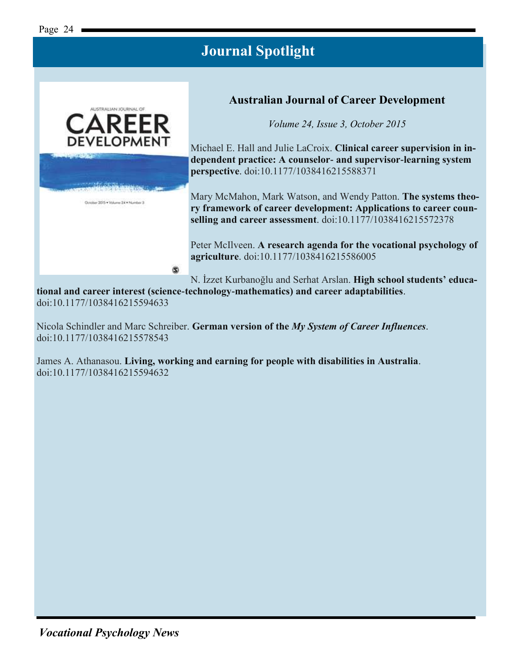

#### **Australian Journal of Career Development**

*Volume 24, Issue 3, October 2015*

Michael E. Hall and Julie LaCroix. **Clinical career supervision in independent practice: A counselor- and supervisor-learning system perspective**. doi:10.1177/1038416215588371

Mary McMahon, Mark Watson, and Wendy Patton. **The systems theory framework of career development: Applications to career counselling and career assessment**. doi:10.1177/1038416215572378

Peter McIlveen. **A research agenda for the vocational psychology of agriculture**. doi:10.1177/1038416215586005

N. İzzet Kurbanoğlu and Serhat Arslan. **High school students' educa-**

**tional and career interest (science-technology-mathematics) and career adaptabilities**. doi:10.1177/1038416215594633

Nicola Schindler and Marc Schreiber. **German version of the** *My System of Career Influences*. doi:10.1177/1038416215578543

James A. Athanasou. **Living, working and earning for people with disabilities in Australia**. doi:10.1177/1038416215594632